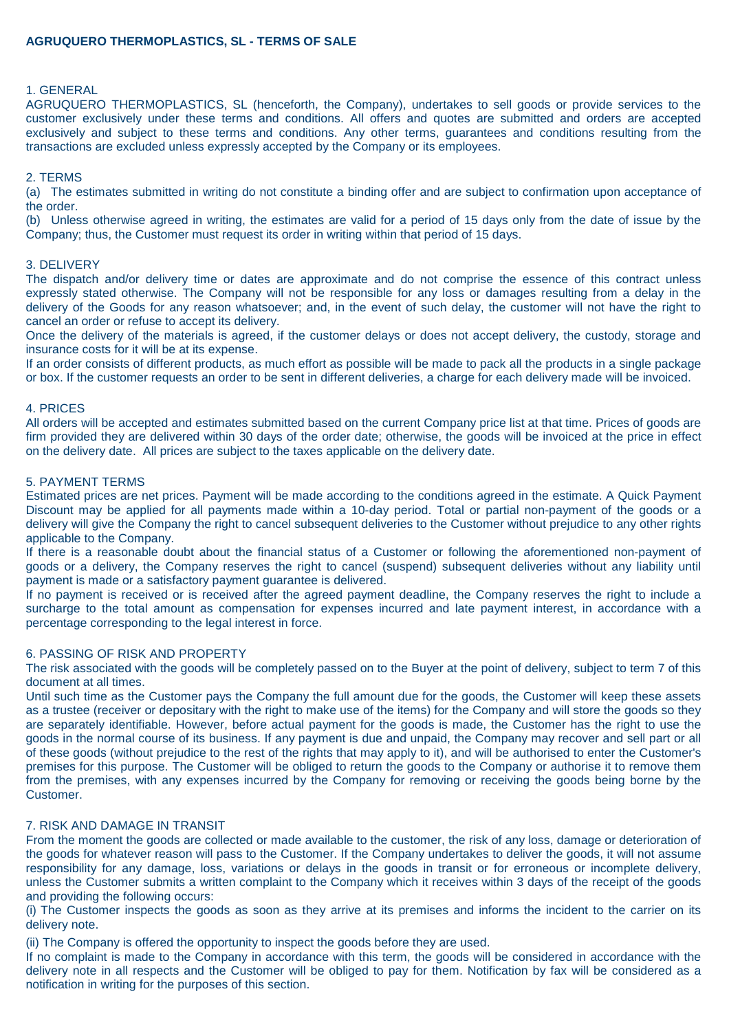## 1. GENERAL

AGRUQUERO THERMOPLASTICS, SL (henceforth, the Company), undertakes to sell goods or provide services to the customer exclusively under these terms and conditions. All offers and quotes are submitted and orders are accepted exclusively and subject to these terms and conditions. Any other terms, guarantees and conditions resulting from the transactions are excluded unless expressly accepted by the Company or its employees.

## 2. TERMS

(a) The estimates submitted in writing do not constitute a binding offer and are subject to confirmation upon acceptance of the order.

(b) Unless otherwise agreed in writing, the estimates are valid for a period of 15 days only from the date of issue by the Company; thus, the Customer must request its order in writing within that period of 15 days.

### 3. DELIVERY

The dispatch and/or delivery time or dates are approximate and do not comprise the essence of this contract unless expressly stated otherwise. The Company will not be responsible for any loss or damages resulting from a delay in the delivery of the Goods for any reason whatsoever; and, in the event of such delay, the customer will not have the right to cancel an order or refuse to accept its delivery.

Once the delivery of the materials is agreed, if the customer delays or does not accept delivery, the custody, storage and insurance costs for it will be at its expense.

If an order consists of different products, as much effort as possible will be made to pack all the products in a single package or box. If the customer requests an order to be sent in different deliveries, a charge for each delivery made will be invoiced.

### 4. PRICES

All orders will be accepted and estimates submitted based on the current Company price list at that time. Prices of goods are firm provided they are delivered within 30 days of the order date; otherwise, the goods will be invoiced at the price in effect on the delivery date. All prices are subject to the taxes applicable on the delivery date.

### 5. PAYMENT TERMS

Estimated prices are net prices. Payment will be made according to the conditions agreed in the estimate. A Quick Payment Discount may be applied for all payments made within a 10-day period. Total or partial non-payment of the goods or a delivery will give the Company the right to cancel subsequent deliveries to the Customer without prejudice to any other rights applicable to the Company.

If there is a reasonable doubt about the financial status of a Customer or following the aforementioned non-payment of goods or a delivery, the Company reserves the right to cancel (suspend) subsequent deliveries without any liability until payment is made or a satisfactory payment guarantee is delivered.

If no payment is received or is received after the agreed payment deadline, the Company reserves the right to include a surcharge to the total amount as compensation for expenses incurred and late payment interest, in accordance with a percentage corresponding to the legal interest in force.

# 6. PASSING OF RISK AND PROPERTY

The risk associated with the goods will be completely passed on to the Buyer at the point of delivery, subject to term 7 of this document at all times.

Until such time as the Customer pays the Company the full amount due for the goods, the Customer will keep these assets as a trustee (receiver or depositary with the right to make use of the items) for the Company and will store the goods so they are separately identifiable. However, before actual payment for the goods is made, the Customer has the right to use the goods in the normal course of its business. If any payment is due and unpaid, the Company may recover and sell part or all of these goods (without prejudice to the rest of the rights that may apply to it), and will be authorised to enter the Customer's premises for this purpose. The Customer will be obliged to return the goods to the Company or authorise it to remove them from the premises, with any expenses incurred by the Company for removing or receiving the goods being borne by the Customer.

# 7. RISK AND DAMAGE IN TRANSIT

From the moment the goods are collected or made available to the customer, the risk of any loss, damage or deterioration of the goods for whatever reason will pass to the Customer. If the Company undertakes to deliver the goods, it will not assume responsibility for any damage, loss, variations or delays in the goods in transit or for erroneous or incomplete delivery, unless the Customer submits a written complaint to the Company which it receives within 3 days of the receipt of the goods and providing the following occurs:

(i) The Customer inspects the goods as soon as they arrive at its premises and informs the incident to the carrier on its delivery note.

(ii) The Company is offered the opportunity to inspect the goods before they are used.

If no complaint is made to the Company in accordance with this term, the goods will be considered in accordance with the delivery note in all respects and the Customer will be obliged to pay for them. Notification by fax will be considered as a notification in writing for the purposes of this section.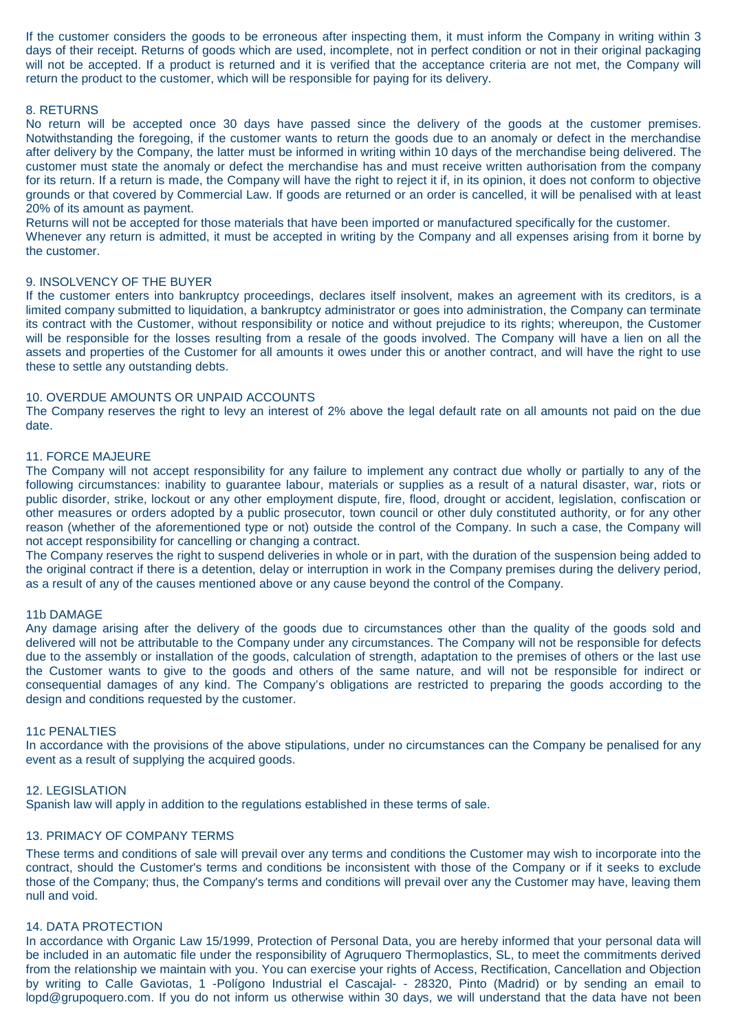If the customer considers the goods to be erroneous after inspecting them, it must inform the Company in writing within 3 days of their receipt. Returns of goods which are used, incomplete, not in perfect condition or not in their original packaging will not be accepted. If a product is returned and it is verified that the acceptance criteria are not met, the Company will return the product to the customer, which will be responsible for paying for its delivery.

## 8. RETURNS

No return will be accepted once 30 days have passed since the delivery of the goods at the customer premises. Notwithstanding the foregoing, if the customer wants to return the goods due to an anomaly or defect in the merchandise after delivery by the Company, the latter must be informed in writing within 10 days of the merchandise being delivered. The customer must state the anomaly or defect the merchandise has and must receive written authorisation from the company for its return. If a return is made, the Company will have the right to reject it if, in its opinion, it does not conform to objective grounds or that covered by Commercial Law. If goods are returned or an order is cancelled, it will be penalised with at least 20% of its amount as payment.

Returns will not be accepted for those materials that have been imported or manufactured specifically for the customer.

Whenever any return is admitted, it must be accepted in writing by the Company and all expenses arising from it borne by the customer.

### 9. INSOLVENCY OF THE BUYER

If the customer enters into bankruptcy proceedings, declares itself insolvent, makes an agreement with its creditors, is a limited company submitted to liquidation, a bankruptcy administrator or goes into administration, the Company can terminate its contract with the Customer, without responsibility or notice and without prejudice to its rights; whereupon, the Customer will be responsible for the losses resulting from a resale of the goods involved. The Company will have a lien on all the assets and properties of the Customer for all amounts it owes under this or another contract, and will have the right to use these to settle any outstanding debts.

#### 10. OVERDUE AMOUNTS OR UNPAID ACCOUNTS

The Company reserves the right to levy an interest of 2% above the legal default rate on all amounts not paid on the due date.

#### 11. FORCE MAJEURE

The Company will not accept responsibility for any failure to implement any contract due wholly or partially to any of the following circumstances: inability to guarantee labour, materials or supplies as a result of a natural disaster, war, riots or public disorder, strike, lockout or any other employment dispute, fire, flood, drought or accident, legislation, confiscation or other measures or orders adopted by a public prosecutor, town council or other duly constituted authority, or for any other reason (whether of the aforementioned type or not) outside the control of the Company. In such a case, the Company will not accept responsibility for cancelling or changing a contract.

The Company reserves the right to suspend deliveries in whole or in part, with the duration of the suspension being added to the original contract if there is a detention, delay or interruption in work in the Company premises during the delivery period, as a result of any of the causes mentioned above or any cause beyond the control of the Company.

### 11b DAMAGE

Any damage arising after the delivery of the goods due to circumstances other than the quality of the goods sold and delivered will not be attributable to the Company under any circumstances. The Company will not be responsible for defects due to the assembly or installation of the goods, calculation of strength, adaptation to the premises of others or the last use the Customer wants to give to the goods and others of the same nature, and will not be responsible for indirect or consequential damages of any kind. The Company's obligations are restricted to preparing the goods according to the design and conditions requested by the customer.

#### 11c PENALTIES

In accordance with the provisions of the above stipulations, under no circumstances can the Company be penalised for any event as a result of supplying the acquired goods.

### 12. LEGISLATION

Spanish law will apply in addition to the regulations established in these terms of sale.

### 13. PRIMACY OF COMPANY TERMS

These terms and conditions of sale will prevail over any terms and conditions the Customer may wish to incorporate into the contract, should the Customer's terms and conditions be inconsistent with those of the Company or if it seeks to exclude those of the Company; thus, the Company's terms and conditions will prevail over any the Customer may have, leaving them null and void.

### 14. DATA PROTECTION

In accordance with Organic Law 15/1999, Protection of Personal Data, you are hereby informed that your personal data will be included in an automatic file under the responsibility of Agruquero Thermoplastics, SL, to meet the commitments derived from the relationship we maintain with you. You can exercise your rights of Access, Rectification, Cancellation and Objection by writing to Calle Gaviotas, 1 -Polígono Industrial el Cascajal- - 28320, Pinto (Madrid) or by sending an email to lopd@grupoquero.com. If you do not inform us otherwise within 30 days, we will understand that the data have not been